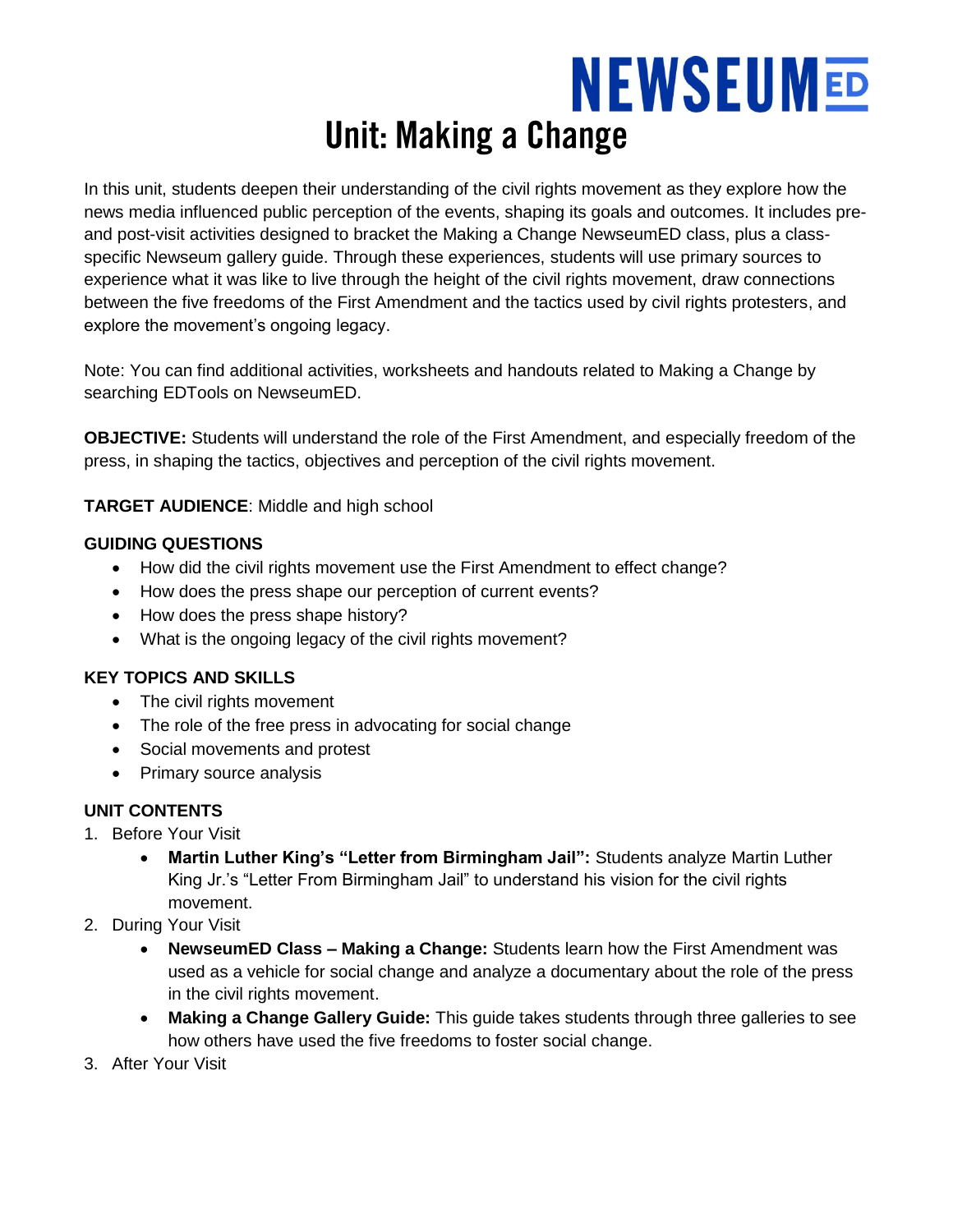# **NEWSEUMED Unit: Making a Change**

In this unit, students deepen their understanding of the civil rights movement as they explore how the news media influenced public perception of the events, shaping its goals and outcomes. It includes preand post-visit activities designed to bracket the Making a Change NewseumED class, plus a classspecific Newseum gallery guide. Through these experiences, students will use primary sources to experience what it was like to live through the height of the civil rights movement, draw connections between the five freedoms of the First Amendment and the tactics used by civil rights protesters, and explore the movement's ongoing legacy.

Note: You can find additional activities, worksheets and handouts related to Making a Change by searching EDTools on NewseumED.

**OBJECTIVE:** Students will understand the role of the First Amendment, and especially freedom of the press, in shaping the tactics, objectives and perception of the civil rights movement.

**TARGET AUDIENCE**: Middle and high school

#### **GUIDING QUESTIONS**

- How did the civil rights movement use the First Amendment to effect change?
- How does the press shape our perception of current events?
- How does the press shape history?
- What is the ongoing legacy of the civil rights movement?

#### **KEY TOPICS AND SKILLS**

- The civil rights movement
- The role of the free press in advocating for social change
- Social movements and protest
- Primary source analysis

#### **UNIT CONTENTS**

- 1. Before Your Visit
	- **Martin Luther King's "Letter from Birmingham Jail":** Students analyze Martin Luther King Jr.'s "Letter From Birmingham Jail" to understand his vision for the civil rights movement.
- 2. During Your Visit
	- **NewseumED Class – Making a Change:** Students learn how the First Amendment was used as a vehicle for social change and analyze a documentary about the role of the press in the civil rights movement.
	- **Making a Change Gallery Guide:** This guide takes students through three galleries to see how others have used the five freedoms to foster social change.
- 3. After Your Visit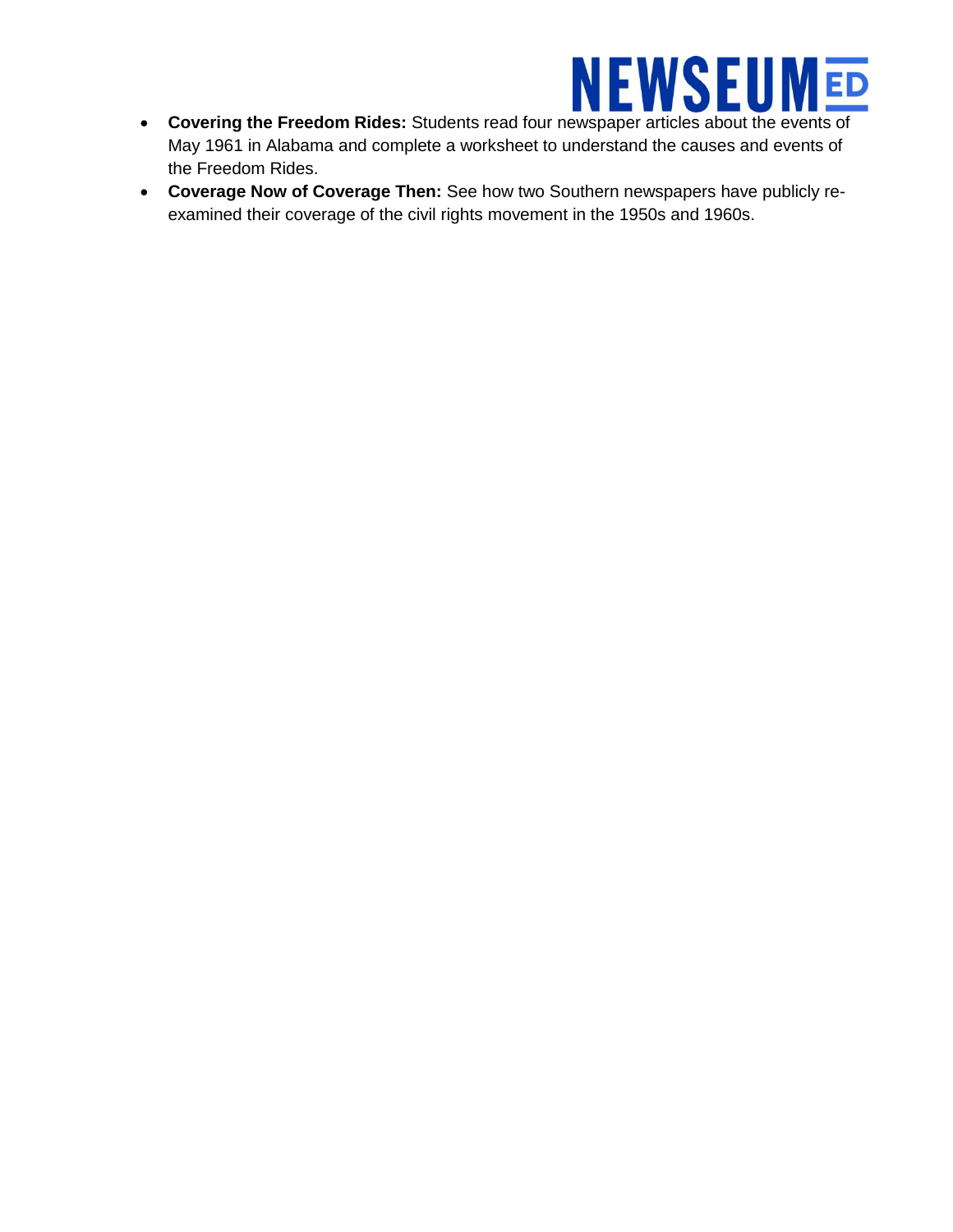

- **Covering the Freedom Rides:** Students read four newspaper articles about the events of May 1961 in Alabama and complete a worksheet to understand the causes and events of the Freedom Rides.
- **Coverage Now of Coverage Then:** See how two Southern newspapers have publicly reexamined their coverage of the civil rights movement in the 1950s and 1960s.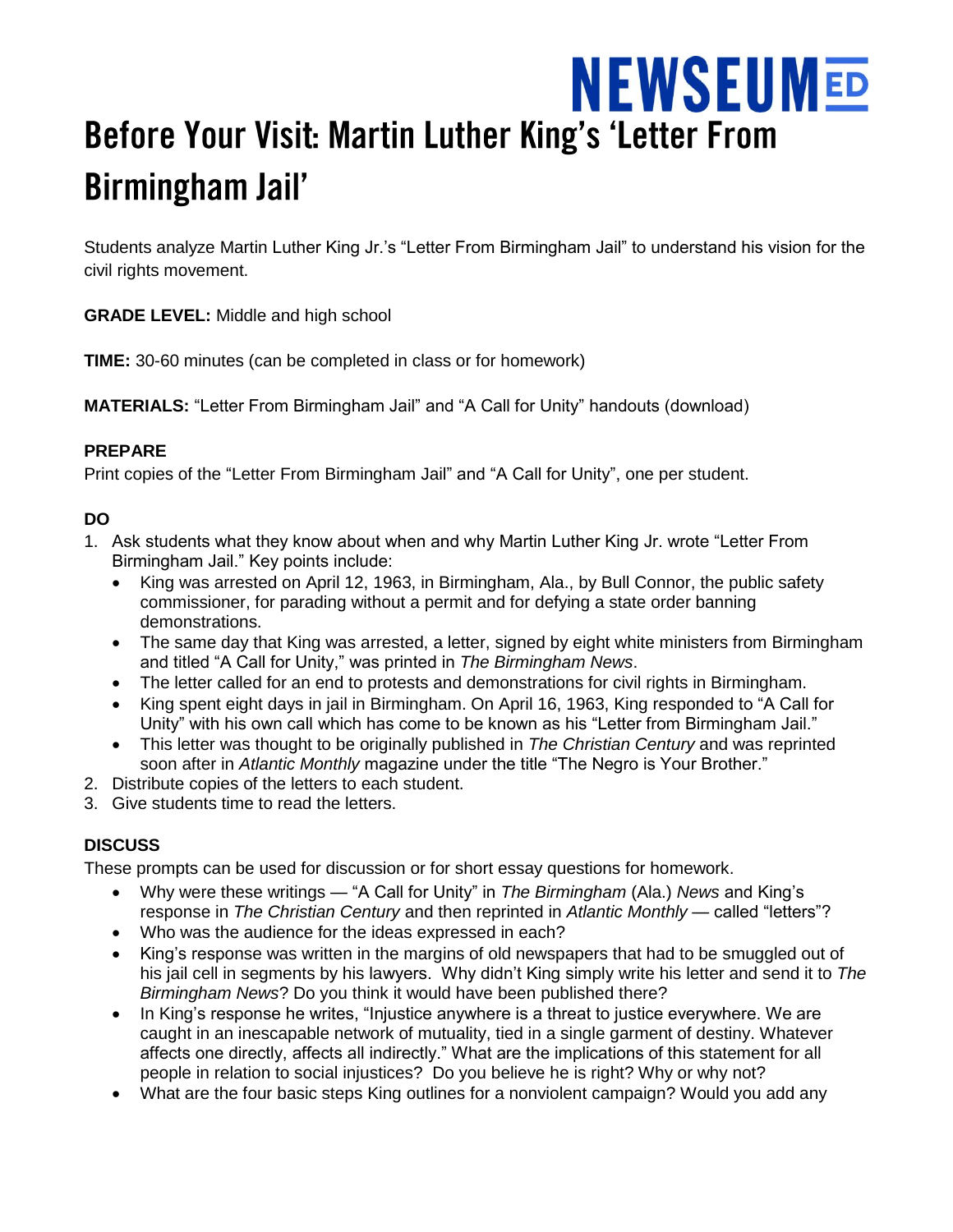## **NEWSEUMED** Before Your Visit: Martin Luther King's 'Letter From **Birmingham Jail'**

Students analyze Martin Luther King Jr.'s "Letter From Birmingham Jail" to understand his vision for the civil rights movement.

**GRADE LEVEL:** Middle and high school

**TIME:** 30-60 minutes (can be completed in class or for homework)

**MATERIALS:** "Letter From Birmingham Jail" and "A Call for Unity" handouts (download)

#### **PREPARE**

Print copies of the "Letter From Birmingham Jail" and "A Call for Unity", one per student.

#### **DO**

- 1. Ask students what they know about when and why Martin Luther King Jr. wrote "Letter From Birmingham Jail." Key points include:
	- King was arrested on April 12, 1963, in Birmingham, Ala., by Bull Connor, the public safety commissioner, for parading without a permit and for defying a state order banning demonstrations.
	- The same day that King was arrested, a letter, signed by eight white ministers from Birmingham and titled "A Call for Unity," was printed in *The Birmingham News*.
	- The letter called for an end to protests and demonstrations for civil rights in Birmingham.
	- King spent eight days in jail in Birmingham. On April 16, 1963, King responded to "A Call for Unity" with his own call which has come to be known as his "Letter from Birmingham Jail."
	- This letter was thought to be originally published in *The Christian Century* and was reprinted soon after in *Atlantic Monthly* magazine under the title "The Negro is Your Brother."
- 2. Distribute copies of the letters to each student.
- 3. Give students time to read the letters.

#### **DISCUSS**

These prompts can be used for discussion or for short essay questions for homework.

- Why were these writings "A Call for Unity" in *The Birmingham* (Ala.) *News* and King's response in *The Christian Century* and then reprinted in *Atlantic Monthly* — called "letters"?
- Who was the audience for the ideas expressed in each?
- King's response was written in the margins of old newspapers that had to be smuggled out of his jail cell in segments by his lawyers. Why didn't King simply write his letter and send it to *The Birmingham News*? Do you think it would have been published there?
- In King's response he writes, "Injustice anywhere is a threat to justice everywhere. We are caught in an inescapable network of mutuality, tied in a single garment of destiny. Whatever affects one directly, affects all indirectly." What are the implications of this statement for all people in relation to social injustices? Do you believe he is right? Why or why not?
- What are the four basic steps King outlines for a nonviolent campaign? Would you add any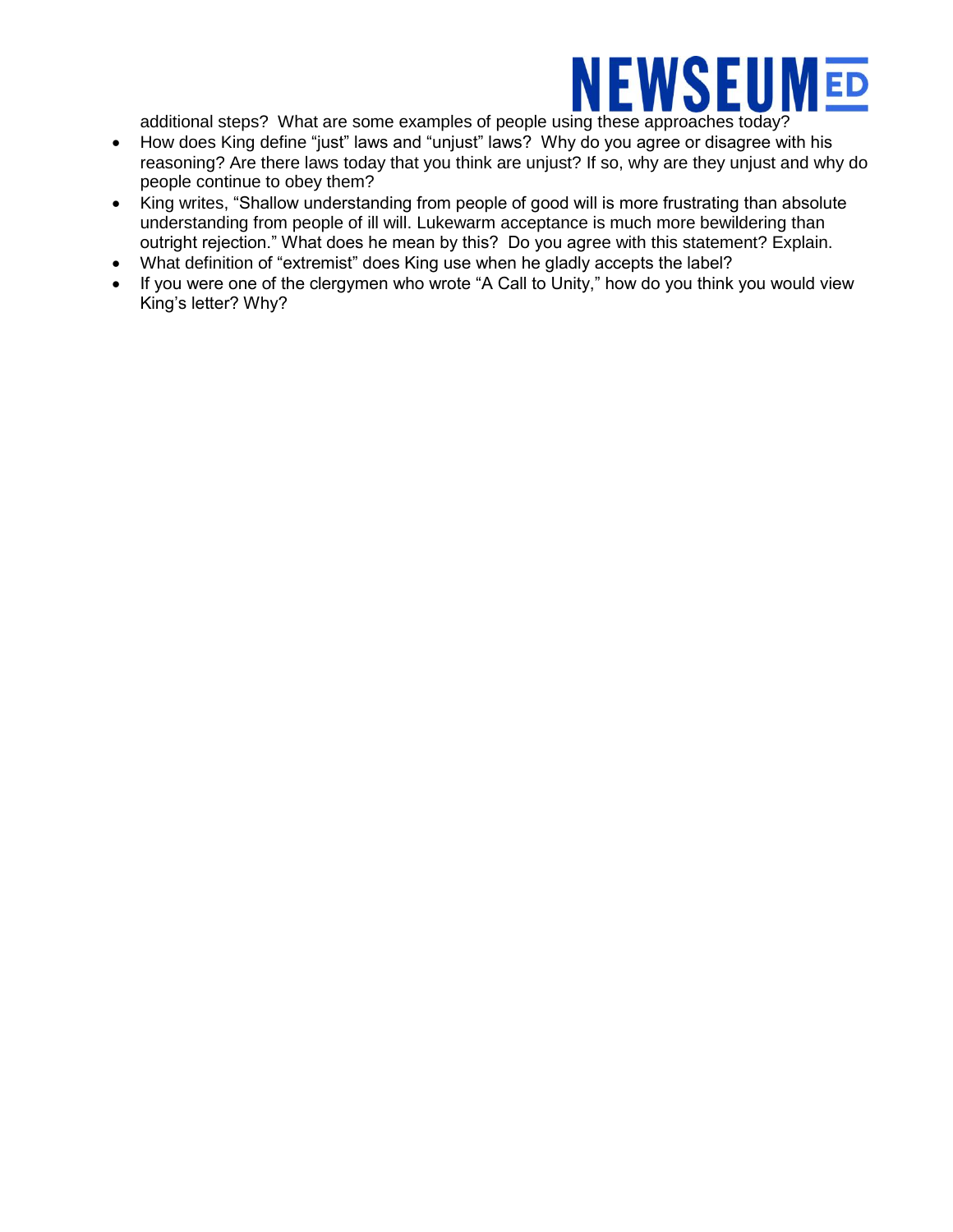# **NEWSEUMED**

additional steps? What are some examples of people using these approaches today?

- How does King define "just" laws and "unjust" laws? Why do you agree or disagree with his reasoning? Are there laws today that you think are unjust? If so, why are they unjust and why do people continue to obey them?
- King writes, "Shallow understanding from people of good will is more frustrating than absolute understanding from people of ill will. Lukewarm acceptance is much more bewildering than outright rejection." What does he mean by this? Do you agree with this statement? Explain.
- What definition of "extremist" does King use when he gladly accepts the label?
- If you were one of the clergymen who wrote "A Call to Unity," how do you think you would view King's letter? Why?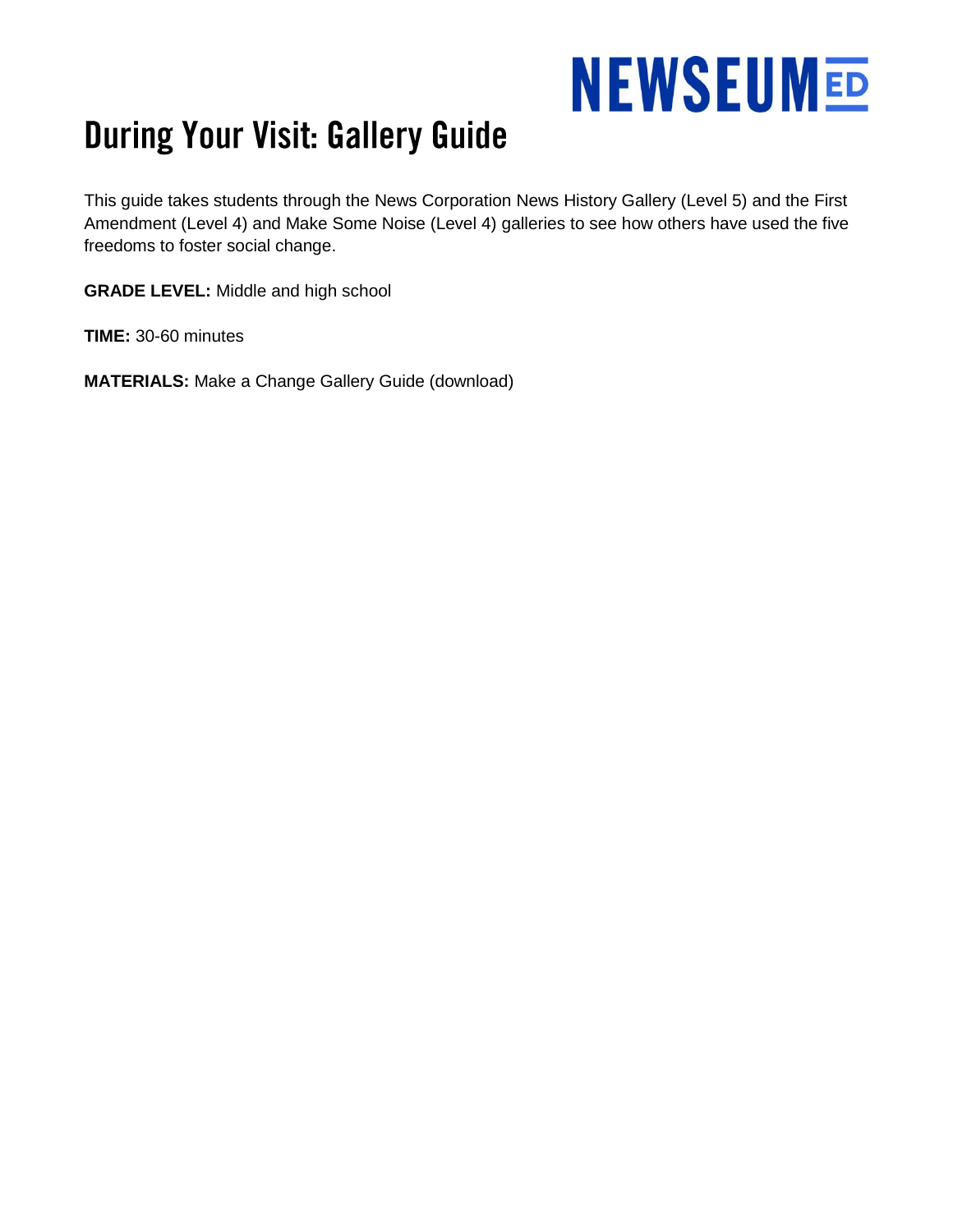# **NEWSEUMED**

### **During Your Visit: Gallery Guide**

This guide takes students through the News Corporation News History Gallery (Level 5) and the First Amendment (Level 4) and Make Some Noise (Level 4) galleries to see how others have used the five freedoms to foster social change.

**GRADE LEVEL:** Middle and high school

**TIME:** 30-60 minutes

**MATERIALS:** Make a Change Gallery Guide (download)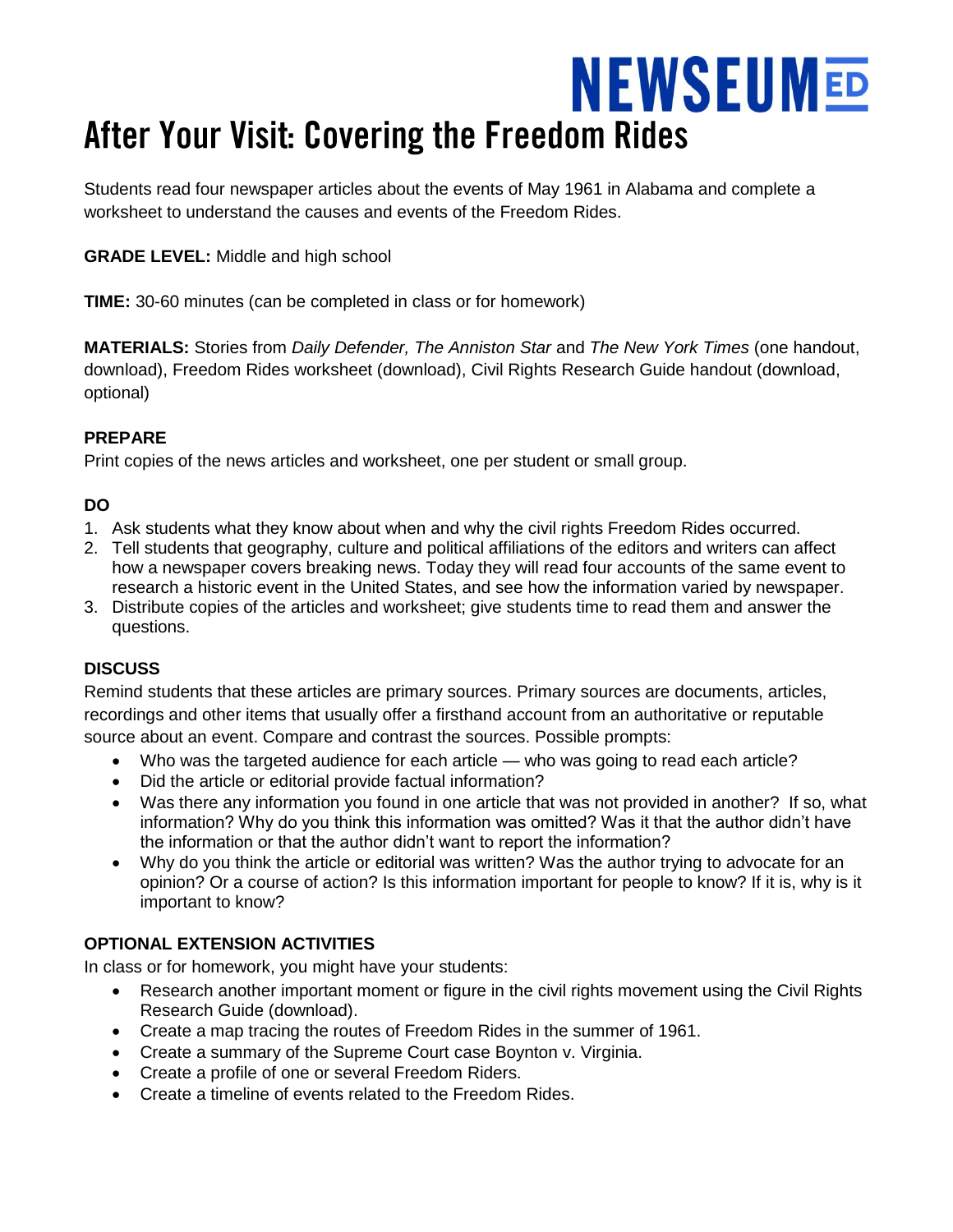# **NEWSEUMED** After Your Visit: Covering the Freedom Rides

Students read four newspaper articles about the events of May 1961 in Alabama and complete a worksheet to understand the causes and events of the Freedom Rides.

#### **GRADE LEVEL:** Middle and high school

**TIME:** 30-60 minutes (can be completed in class or for homework)

**MATERIALS:** Stories from *Daily Defender, The Anniston Star* and *The New York Times* (one handout, download), Freedom Rides worksheet (download), Civil Rights Research Guide handout (download, optional)

#### **PREPARE**

Print copies of the news articles and worksheet, one per student or small group.

#### **DO**

- 1. Ask students what they know about when and why the civil rights Freedom Rides occurred.
- 2. Tell students that geography, culture and political affiliations of the editors and writers can affect how a newspaper covers breaking news. Today they will read four accounts of the same event to research a historic event in the United States, and see how the information varied by newspaper.
- 3. Distribute copies of the articles and worksheet; give students time to read them and answer the questions.

#### **DISCUSS**

Remind students that these articles are primary sources. Primary sources are documents, articles, recordings and other items that usually offer a firsthand account from an authoritative or reputable source about an event. Compare and contrast the sources. Possible prompts:

- Who was the targeted audience for each article who was going to read each article?
- Did the article or editorial provide factual information?
- Was there any information you found in one article that was not provided in another? If so, what information? Why do you think this information was omitted? Was it that the author didn't have the information or that the author didn't want to report the information?
- Why do you think the article or editorial was written? Was the author trying to advocate for an opinion? Or a course of action? Is this information important for people to know? If it is, why is it important to know?

#### **OPTIONAL EXTENSION ACTIVITIES**

In class or for homework, you might have your students:

- Research another important moment or figure in the civil rights movement using the Civil Rights Research Guide (download).
- Create a map tracing the routes of Freedom Rides in the summer of 1961.
- Create a summary of the Supreme Court case Boynton v. Virginia.
- Create a profile of one or several Freedom Riders.
- Create a timeline of events related to the Freedom Rides.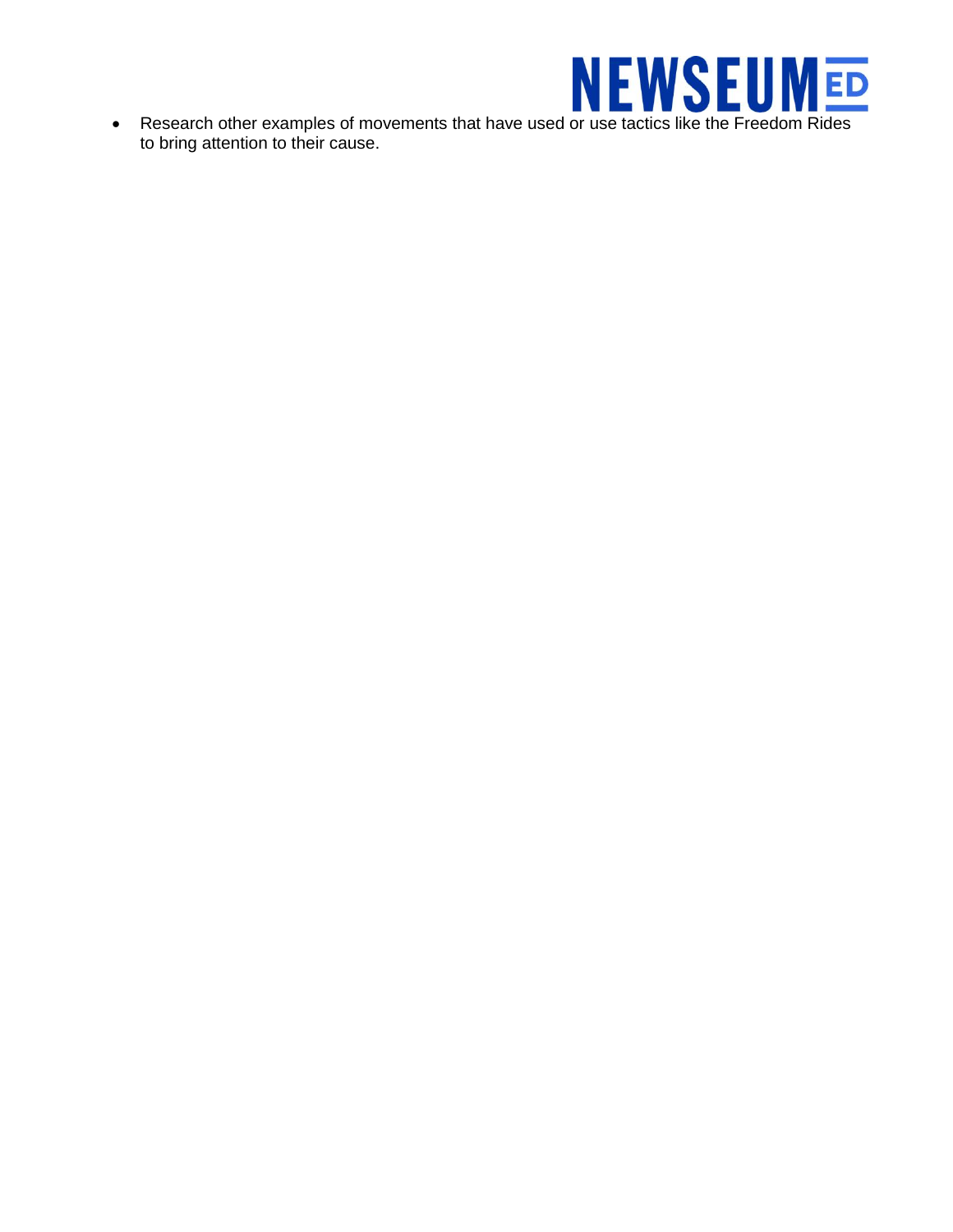

Research other examples of movements that have used or use tactics like the Freedom Rides to bring attention to their cause.